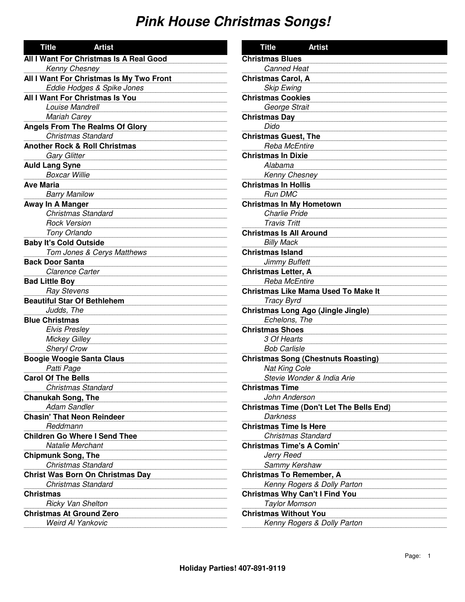| <b>Artist</b><br><b>Title</b>            |  |  |
|------------------------------------------|--|--|
| All I Want For Christmas Is A Real Good  |  |  |
| Kenny Chesney                            |  |  |
| All I Want For Christmas Is My Two Front |  |  |
| Eddie Hodges & Spike Jones               |  |  |
| All I Want For Christmas Is You          |  |  |
| Louise Mandrell                          |  |  |
| <b>Mariah Carey</b>                      |  |  |
| <b>Angels From The Realms Of Glory</b>   |  |  |
| Christmas Standard                       |  |  |
| <b>Another Rock &amp; Roll Christmas</b> |  |  |
| <b>Gary Glitter</b>                      |  |  |
| <b>Auld Lang Syne</b>                    |  |  |
| <b>Boxcar Willie</b>                     |  |  |
| <b>Ave Maria</b>                         |  |  |
| <b>Barry Manilow</b>                     |  |  |
| Away In A Manger                         |  |  |
| <b>Christmas Standard</b>                |  |  |
| <b>Rock Version</b>                      |  |  |
| Tony Orlando                             |  |  |
| <b>Baby It's Cold Outside</b>            |  |  |
| Tom Jones & Cerys Matthews               |  |  |
| <b>Back Door Santa</b>                   |  |  |
| <b>Clarence Carter</b>                   |  |  |
| <b>Bad Little Boy</b>                    |  |  |
| <b>Ray Stevens</b>                       |  |  |
| <b>Beautiful Star Of Bethlehem</b>       |  |  |
| Judds, The                               |  |  |
| <b>Blue Christmas</b>                    |  |  |
| <b>Elvis Presley</b>                     |  |  |
| <b>Mickey Gilley</b>                     |  |  |
| <b>Sheryl Crow</b>                       |  |  |
| <b>Boogie Woogie Santa Claus</b>         |  |  |
| Patti Page                               |  |  |
| <b>Carol Of The Bells</b>                |  |  |
| <b>Christmas Standard</b>                |  |  |
| <b>Chanukah Song, The</b>                |  |  |
| <b>Adam Sandler</b>                      |  |  |
| <b>Chasin' That Neon Reindeer</b>        |  |  |
| Reddmann                                 |  |  |
| <b>Children Go Where I Send Thee</b>     |  |  |
| <b>Natalie Merchant</b>                  |  |  |
| <b>Chipmunk Song, The</b>                |  |  |
| <b>Christmas Standard</b>                |  |  |
| <b>Christ Was Born On Christmas Day</b>  |  |  |
| <b>Christmas Standard</b>                |  |  |
| <b>Christmas</b>                         |  |  |
| Ricky Van Shelton                        |  |  |
| <b>Christmas At Ground Zero</b>          |  |  |
| Weird Al Yankovic                        |  |  |

| <b>Title</b>                          | <b>Artist</b>                                   |
|---------------------------------------|-------------------------------------------------|
| <b>Christmas Blues</b>                |                                                 |
| <b>Canned Heat</b>                    |                                                 |
| <b>Christmas Carol, A</b>             |                                                 |
| <b>Skip Ewing</b>                     |                                                 |
| <b>Christmas Cookies</b>              |                                                 |
| George Strait                         |                                                 |
| <b>Christmas Day</b>                  |                                                 |
| Dido                                  |                                                 |
| <b>Christmas Guest, The</b>           |                                                 |
| Reba McEntire                         |                                                 |
| <b>Christmas In Dixie</b>             |                                                 |
| Alabama                               |                                                 |
| <b>Kenny Chesney</b>                  |                                                 |
| <b>Christmas In Hollis</b>            |                                                 |
| <b>Run DMC</b>                        |                                                 |
| <b>Christmas In My Hometown</b>       |                                                 |
| <b>Charlie Pride</b>                  |                                                 |
| <b>Travis Tritt</b>                   |                                                 |
| <b>Christmas Is All Around</b>        |                                                 |
| <b>Billy Mack</b>                     |                                                 |
| <b>Christmas Island</b>               |                                                 |
| <b>Jimmy Buffett</b>                  |                                                 |
| <b>Christmas Letter, A</b>            |                                                 |
| Reba McEntire                         |                                                 |
|                                       | <b>Christmas Like Mama Used To Make It</b>      |
| Tracy Byrd                            |                                                 |
| Echelons, The                         | <b>Christmas Long Ago (Jingle Jingle)</b>       |
| <b>Christmas Shoes</b>                |                                                 |
| 3 Of Hearts                           |                                                 |
| <b>Bob Carlisle</b>                   |                                                 |
|                                       | <b>Christmas Song (Chestnuts Roasting)</b>      |
| Nat King Cole                         |                                                 |
|                                       | Stevie Wonder & India Arie                      |
| <b>Christmas Time</b>                 |                                                 |
| John Anderson                         |                                                 |
|                                       | <b>Christmas Time (Don't Let The Bells End)</b> |
| <b>Darkness</b>                       |                                                 |
| <b>Christmas Time Is Here</b>         |                                                 |
| <b>Christmas Standard</b>             |                                                 |
| <b>Christmas Time's A Comin'</b>      |                                                 |
| Jerry Reed                            |                                                 |
| Sammy Kershaw                         |                                                 |
| <b>Christmas To Remember, A</b>       |                                                 |
|                                       | Kenny Rogers & Dolly Parton                     |
| <b>Christmas Why Can't I Find You</b> |                                                 |
| <b>Taylor Momson</b>                  |                                                 |
| <b>Christmas Without You</b>          |                                                 |
|                                       | Kenny Rogers & Dolly Parton                     |
|                                       |                                                 |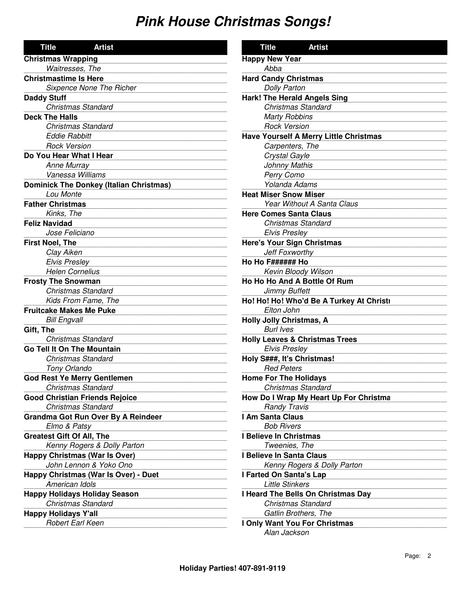| <b>Title</b><br><b>Artist</b>                  | <b>Title</b><br><b>Artist</b>                 |
|------------------------------------------------|-----------------------------------------------|
| <b>Christmas Wrapping</b>                      | <b>Happy New Year</b>                         |
| Waitresses, The                                | Abba                                          |
| <b>Christmastime Is Here</b>                   | <b>Hard Candy Christmas</b>                   |
| <b>Sixpence None The Richer</b>                | <b>Dolly Parton</b>                           |
| <b>Daddy Stuff</b>                             | <b>Hark! The Herald Angels Sing</b>           |
| <b>Christmas Standard</b>                      | <b>Christmas Standard</b>                     |
| <b>Deck The Halls</b>                          | <b>Marty Robbins</b>                          |
| <b>Christmas Standard</b>                      | <b>Rock Version</b>                           |
| <b>Eddie Rabbitt</b>                           | <b>Have Yourself A Merry Little Christmas</b> |
| <b>Rock Version</b>                            | Carpenters, The                               |
| Do You Hear What I Hear                        | Crystal Gayle                                 |
| Anne Murray                                    | Johnny Mathis                                 |
| Vanessa Williams                               | Perry Como                                    |
| <b>Dominick The Donkey (Italian Christmas)</b> | Yolanda Adams                                 |
| Lou Monte                                      | <b>Heat Miser Snow Miser</b>                  |
| <b>Father Christmas</b>                        | Year Without A Santa Claus                    |
| Kinks, The                                     | <b>Here Comes Santa Claus</b>                 |
| <b>Feliz Navidad</b>                           | <b>Christmas Standard</b>                     |
| Jose Feliciano                                 | <b>Elvis Presley</b>                          |
| <b>First Noel, The</b>                         | <b>Here's Your Sign Christmas</b>             |
| Clay Aiken                                     | Jeff Foxworthy                                |
| <b>Elvis Presley</b>                           | Ho Ho F###### Ho                              |
| <b>Helen Cornelius</b>                         | Kevin Bloody Wilson                           |
| <b>Frosty The Snowman</b>                      | Ho Ho Ho And A Bottle Of Rum                  |
| <b>Christmas Standard</b>                      | Jimmy Buffett                                 |
| Kids From Fame, The                            | Ho! Ho! Ho! Who'd Be A Turkey At Christi      |
| <b>Fruitcake Makes Me Puke</b>                 | Elton John                                    |
| <b>Bill Engvall</b>                            | <b>Holly Jolly Christmas, A</b>               |
| Gift, The                                      | <b>Burl Ives</b>                              |
| <b>Christmas Standard</b>                      | <b>Holly Leaves &amp; Christmas Trees</b>     |
| <b>Go Tell It On The Mountain</b>              | <b>Elvis Presley</b>                          |
| <b>Christmas Standard</b>                      | Holy S###, It's Christmas!                    |
| Tony Orlando                                   | <b>Red Peters</b>                             |
| <b>God Rest Ye Merry Gentlemen</b>             | <b>Home For The Holidays</b>                  |
| <b>Christmas Standard</b>                      | Christmas Standard                            |
| <b>Good Christian Friends Rejoice</b>          | How Do I Wrap My Heart Up For Christma        |
| <b>Christmas Standard</b>                      | <b>Randy Travis</b>                           |
| Grandma Got Run Over By A Reindeer             | I Am Santa Claus                              |
| Elmo & Patsy                                   | <b>Bob Rivers</b>                             |
| <b>Greatest Gift Of All, The</b>               | I Believe In Christmas                        |
| Kenny Rogers & Dolly Parton                    | Tweenies, The                                 |
| <b>Happy Christmas (War Is Over)</b>           | I Believe In Santa Claus                      |
| John Lennon & Yoko Ono                         | Kenny Rogers & Dolly Parton                   |
| Happy Christmas (War Is Over) - Duet           | I Farted On Santa's Lap                       |
| American Idols                                 | <b>Little Stinkers</b>                        |
| <b>Happy Holidays Holiday Season</b>           | I Heard The Bells On Christmas Day            |
| <b>Christmas Standard</b>                      | <b>Christmas Standard</b>                     |
| <b>Happy Holidays Y'all</b>                    | Gatlin Brothers, The                          |
| Robert Earl Keen                               | I Only Want You For Christmas                 |
|                                                | Alan Jackson                                  |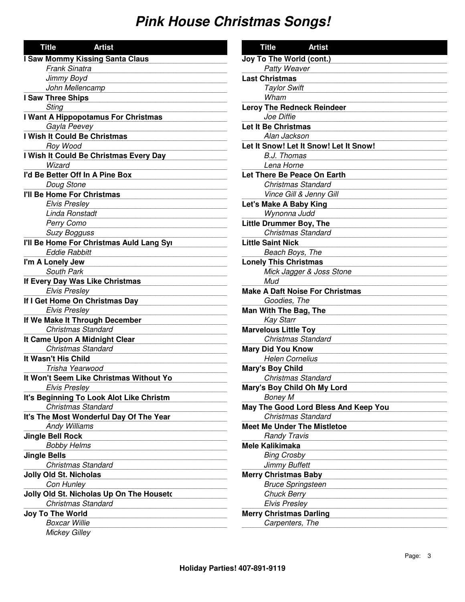| <b>Title</b><br><b>Artist</b>            |
|------------------------------------------|
| <b>I Saw Mommy Kissing Santa Claus</b>   |
| <b>Frank Sinatra</b>                     |
| Jimmy Boyd                               |
| John Mellencamp                          |
| I Saw Three Ships                        |
| <b>Sting</b>                             |
| I Want A Hippopotamus For Christmas      |
| Gayla Peevey                             |
| I Wish It Could Be Christmas             |
| Roy Wood                                 |
| I Wish It Could Be Christmas Every Day   |
| Wizard                                   |
| I'd Be Better Off In A Pine Box          |
| Doug Stone                               |
| I'll Be Home For Christmas               |
| <b>Elvis Presley</b>                     |
| Linda Ronstadt                           |
| Perry Como                               |
| <b>Suzy Bogguss</b>                      |
| I'll Be Home For Christmas Auld Lang Syı |
| <b>Eddie Rabbitt</b>                     |
| I'm A Lonely Jew                         |
| South Park                               |
| If Every Day Was Like Christmas          |
| <b>Elvis Presley</b>                     |
| If I Get Home On Christmas Day           |
| <b>Elvis Presley</b>                     |
| If We Make It Through December           |
| <b>Christmas Standard</b>                |
| It Came Upon A Midnight Clear            |
| <b>Christmas Standard</b>                |
| It Wasn't His Child                      |
| Trisha Yearwood                          |
| It Won't Seem Like Christmas Without Yo  |
| Elvis Presley                            |
| It's Beginning To Look Alot Like Christm |
| <b>Christmas Standard</b>                |
| It's The Most Wonderful Day Of The Year  |
| <b>Andy Williams</b>                     |
| <b>Jingle Bell Rock</b>                  |
| <b>Bobby Helms</b>                       |
| <b>Jingle Bells</b>                      |
| <b>Christmas Standard</b>                |
| <b>Jolly Old St. Nicholas</b>            |
| Con Hunley                               |
| Jolly Old St. Nicholas Up On The Houseto |
| Christmas Standard                       |
| <b>Joy To The World</b>                  |
| <b>Boxcar Willie</b>                     |
| <b>Mickey Gilley</b>                     |

| <b>Title</b>                                      | <b>Artist</b>                          |
|---------------------------------------------------|----------------------------------------|
| Joy To The World (cont.)                          |                                        |
| Patty Weaver                                      |                                        |
| <b>Last Christmas</b>                             |                                        |
| <b>Taylor Swift</b>                               |                                        |
| Wham                                              |                                        |
| <b>Leroy The Redneck Reindeer</b>                 |                                        |
| Joe Diffie                                        |                                        |
| <b>Let It Be Christmas</b>                        |                                        |
| Alan Jackson                                      |                                        |
|                                                   | Let It Snow! Let It Snow! Let It Snow! |
| B.J. Thomas                                       |                                        |
| Lena Horne                                        |                                        |
| Let There Be Peace On Earth                       |                                        |
| <b>Christmas Standard</b>                         |                                        |
| Vince Gill & Jenny Gill                           |                                        |
| Let's Make A Baby King                            |                                        |
| Wynonna Judd                                      |                                        |
| <b>Little Drummer Boy, The</b>                    |                                        |
| <b>Christmas Standard</b>                         |                                        |
| <b>Little Saint Nick</b>                          |                                        |
| Beach Boys, The                                   |                                        |
| <b>Lonely This Christmas</b>                      |                                        |
|                                                   | Mick Jagger & Joss Stone               |
| Mud                                               |                                        |
| <b>Make A Daft Noise For Christmas</b>            |                                        |
| Goodies, The                                      |                                        |
| Man With The Bag, The                             |                                        |
| <b>Kay Starr</b>                                  |                                        |
| <b>Marvelous Little Toy</b>                       |                                        |
| <b>Christmas Standard</b>                         |                                        |
| <b>Mary Did You Know</b>                          |                                        |
| <b>Helen Cornelius</b>                            |                                        |
| <b>Mary's Boy Child</b>                           |                                        |
| <b>Christmas Standard</b>                         |                                        |
| Mary's Boy Child Oh My Lord                       |                                        |
| <b>Boney M</b>                                    |                                        |
|                                                   | May The Good Lord Bless And Keep You   |
| <b>Christmas Standard</b>                         |                                        |
| <b>Meet Me Under The Mistletoe</b>                |                                        |
| <b>Randy Travis</b><br><b>Mele Kalikimaka</b>     |                                        |
|                                                   |                                        |
| <b>Bing Crosby</b><br><b>Jimmy Buffett</b>        |                                        |
|                                                   |                                        |
| <b>Merry Christmas Baby</b>                       |                                        |
| <b>Bruce Springsteen</b><br><b>Chuck Berry</b>    |                                        |
|                                                   |                                        |
| <b>Elvis Presley</b>                              |                                        |
| <b>Merry Christmas Darling</b><br>Carpenters, The |                                        |
|                                                   |                                        |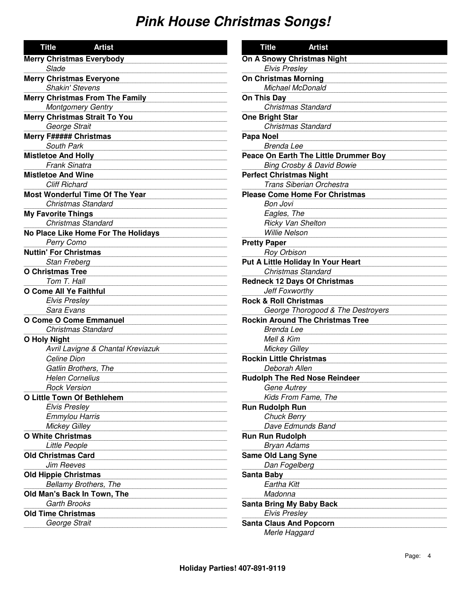| <b>Title</b><br><b>Artist</b>          | <b>Title</b><br><b>Artist</b>           |
|----------------------------------------|-----------------------------------------|
| <b>Merry Christmas Everybody</b>       | On A Snowy Christmas Night              |
| Slade                                  | <b>Elvis Presley</b>                    |
| <b>Merry Christmas Everyone</b>        | <b>On Christmas Morning</b>             |
| <b>Shakin' Stevens</b>                 | Michael McDonald                        |
| <b>Merry Christmas From The Family</b> | On This Day                             |
| <b>Montgomery Gentry</b>               | <b>Christmas Standard</b>               |
| <b>Merry Christmas Strait To You</b>   | <b>One Bright Star</b>                  |
| George Strait                          | <b>Christmas Standard</b>               |
| <b>Merry F##### Christmas</b>          | Papa Noel                               |
| South Park                             | <b>Brenda Lee</b>                       |
| <b>Mistletoe And Holly</b>             | Peace On Earth The Little Drummer Boy   |
| <b>Frank Sinatra</b>                   | <b>Bing Crosby &amp; David Bowie</b>    |
| <b>Mistletoe And Wine</b>              | <b>Perfect Christmas Night</b>          |
| <b>Cliff Richard</b>                   | Trans Siberian Orchestra                |
| <b>Most Wonderful Time Of The Year</b> | <b>Please Come Home For Christmas</b>   |
| <b>Christmas Standard</b>              | <b>Bon Jovi</b>                         |
| <b>My Favorite Things</b>              | Eagles, The                             |
| <b>Christmas Standard</b>              | Ricky Van Shelton                       |
| No Place Like Home For The Holidays    | <b>Willie Nelson</b>                    |
| Perry Como                             | <b>Pretty Paper</b>                     |
| <b>Nuttin' For Christmas</b>           | <b>Roy Orbison</b>                      |
| Stan Freberg                           | Put A Little Holiday In Your Heart      |
| <b>O Christmas Tree</b>                | <b>Christmas Standard</b>               |
| Tom T. Hall                            | <b>Redneck 12 Days Of Christmas</b>     |
| O Come All Ye Faithful                 | Jeff Foxworthy                          |
| <b>Elvis Presley</b>                   | <b>Rock &amp; Roll Christmas</b>        |
| Sara Evans                             | George Thorogood & The Destroyers       |
| <b>O Come O Come Emmanuel</b>          | <b>Rockin Around The Christmas Tree</b> |
| <b>Christmas Standard</b>              | <b>Brenda Lee</b>                       |
| <b>O Holy Night</b>                    | Mell & Kim                              |
| Avril Lavigne & Chantal Kreviazuk      | <b>Mickey Gilley</b>                    |
| Celine Dion                            | <b>Rockin Little Christmas</b>          |
| Gatlin Brothers, The                   | Deborah Allen                           |
| <b>Helen Cornelius</b>                 | <b>Rudolph The Red Nose Reindeer</b>    |
| <b>Rock Version</b>                    | <b>Gene Autrey</b>                      |
| O Little Town Of Bethlehem             | Kids From Fame, The                     |
| <b>Elvis Presley</b>                   | <b>Run Rudolph Run</b>                  |
| <b>Emmylou Harris</b>                  | <b>Chuck Berry</b>                      |
| <b>Mickey Gilley</b>                   | Dave Edmunds Band                       |
| <b>O White Christmas</b>               | <b>Run Run Rudolph</b>                  |
| Little People                          | <b>Bryan Adams</b>                      |
| <b>Old Christmas Card</b>              | <b>Same Old Lang Syne</b>               |
| <b>Jim Reeves</b>                      | Dan Fogelberg                           |
| <b>Old Hippie Christmas</b>            | <b>Santa Baby</b>                       |
| Bellamy Brothers, The                  | Eartha Kitt                             |
| Old Man's Back In Town, The            | Madonna                                 |
| <b>Garth Brooks</b>                    | <b>Santa Bring My Baby Back</b>         |
| <b>Old Time Christmas</b>              | <b>Elvis Presley</b>                    |
| George Strait                          | <b>Santa Claus And Popcorn</b>          |
|                                        | Merle Haggard                           |
|                                        |                                         |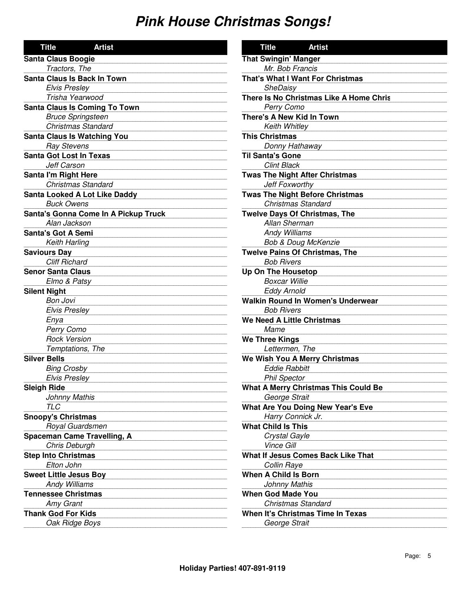| <b>Title</b><br><b>Artist</b>        | <b>Title</b>         |
|--------------------------------------|----------------------|
| <b>Santa Claus Boogie</b>            | <b>That Swingir</b>  |
| Tractors, The                        | Mr. Bol              |
| Santa Claus Is Back In Town          | <b>That's What</b>   |
| <b>Elvis Presley</b>                 | SheDa                |
| Trisha Yearwood                      | There Is No (        |
| <b>Santa Claus Is Coming To Town</b> | Perry C              |
| <b>Bruce Springsteen</b>             | <b>There's A Ne</b>  |
| <b>Christmas Standard</b>            | Keith V              |
| <b>Santa Claus Is Watching You</b>   | <b>This Christm</b>  |
| <b>Ray Stevens</b>                   | Donny                |
| <b>Santa Got Lost In Texas</b>       | <b>Til Santa's G</b> |
| Jeff Carson                          | Clint Bi             |
| Santa I'm Right Here                 | Twas The Nie         |
| <b>Christmas Standard</b>            | Jeff Fo              |
| <b>Santa Looked A Lot Like Daddy</b> | <b>Twas The Nig</b>  |
| <b>Buck Owens</b>                    | Christn              |
| Santa's Gonna Come In A Pickup Truck | <b>Twelve Days</b>   |
| Alan Jackson                         | Allan S              |
| <b>Santa's Got A Semi</b>            | Andy V               |
| Keith Harling                        | Bob &                |
| <b>Saviours Day</b>                  | <b>Twelve Pains</b>  |
| <b>Cliff Richard</b>                 | <b>Bob Ri</b>        |
| <b>Senor Santa Claus</b>             | Up On The H          |
| Elmo & Patsy                         | Boxcar               |
| <b>Silent Night</b>                  | Eddy A               |
| <b>Bon Jovi</b>                      | <b>Walkin Roun</b>   |
| <b>Elvis Presley</b>                 | <b>Bob Ri</b>        |
| Enya                                 | We Need A L          |
| Perry Como                           | Mame                 |
| <b>Rock Version</b>                  | <b>We Three Kir</b>  |
| Temptations, The                     | Lettern              |
| <b>Silver Bells</b>                  | <b>We Wish You</b>   |
| <b>Bing Crosby</b>                   | Eddie I              |
| <b>Elvis Presley</b>                 | Phil Sp              |
| <b>Sleigh Ride</b>                   | <b>What A Merr</b>   |
| <b>Johnny Mathis</b>                 | George               |
| <b>TLC</b>                           | <b>What Are Yo</b>   |
| <b>Snoopy's Christmas</b>            | Harry (              |
| Royal Guardsmen                      | <b>What Child Is</b> |
| Spaceman Came Travelling, A          | Crystal              |
| Chris Deburgh                        | Vince (              |
| <b>Step Into Christmas</b>           | <b>What If Jesus</b> |
| Elton John                           | Collin F             |
| <b>Sweet Little Jesus Boy</b>        | <b>When A Child</b>  |
| <b>Andy Williams</b>                 | Johnny               |
| <b>Tennessee Christmas</b>           | <b>When God M</b>    |
| Amy Grant                            | Christn              |
| <b>Thank God For Kids</b>            | When It's Ch         |
| Oak Ridge Boys                       | George               |
|                                      |                      |

| Title<br>Artist                             |
|---------------------------------------------|
| <b>That Swingin' Manger</b>                 |
| Mr. Bob Francis                             |
| That's What I Want For Christmas            |
| SheDaisy                                    |
| There Is No Christmas Like A Home Chris     |
| Perry Como                                  |
| <b>There's A New Kid In Town</b>            |
| Keith Whitley                               |
| <b>This Christmas</b>                       |
| Donny Hathaway                              |
| il Santa's Gone                             |
| <b>Clint Black</b>                          |
| <b>was The Night After Christmas</b>        |
| Jeff Foxworthy                              |
| <b>was The Night Before Christmas</b>       |
| Christmas Standard                          |
| <b>Welve Days Of Christmas, The</b>         |
| Allan Sherman                               |
| <b>Andy Williams</b>                        |
| <b>Bob &amp; Doug McKenzie</b>              |
| <b>Welve Pains Of Christmas, The</b>        |
| <b>Bob Rivers</b>                           |
| Jp On The Housetop                          |
| <b>Boxcar Willie</b>                        |
| <b>Eddy Arnold</b>                          |
| Valkin Round In Women's Underwear           |
| <b>Bob Rivers</b>                           |
| <b>Ve Need A Little Christmas</b>           |
| Mame                                        |
| <b>Ve Three Kings</b>                       |
| Lettermen, The                              |
| Ve Wish You A Merry Christmas               |
| <b>Eddie Rabbitt</b>                        |
| <b>Phil Spector</b>                         |
| <b>What A Merry Christmas This Could Be</b> |
| George Strait                               |
| <b>Vhat Are You Doing New Year's Eve</b>    |
| Harry Connick Jr.                           |
| <b>Vhat Child Is This</b>                   |
| Crystal Gayle                               |
| <b>Vince Gill</b>                           |
| <b>Vhat If Jesus Comes Back Like That</b>   |
| Collin Raye                                 |
| <b>Vhen A Child Is Born</b>                 |
| <b>Johnny Mathis</b>                        |
| Vhen God Made You                           |
| <b>Christmas Standard</b>                   |
| <b>Vhen It's Christmas Time In Texas</b>    |
| George Strait                               |